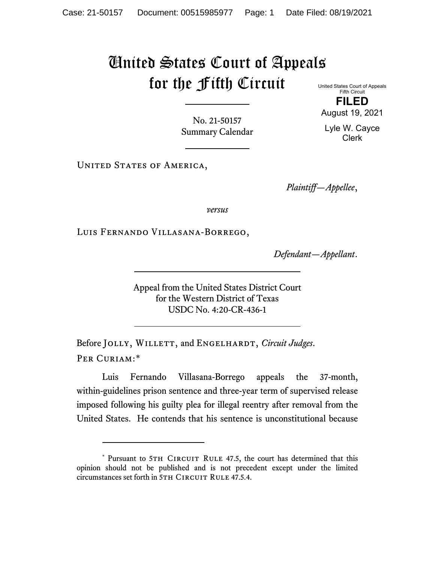## United States Court of Appeals for the Fifth Circuit United States Court of Appeals

Fifth Circuit **FILED** August 19, 2021

Lyle W. Cayce Clerk

No. 21-50157 Summary Calendar

UNITED STATES OF AMERICA,

*Plaintiff—Appellee*,

*versus*

Luis Fernando Villasana-Borrego,

*Defendant—Appellant*.

Appeal from the United States District Court for the Western District of Texas USDC No. 4:20-CR-436-1

Before JOLLY, WILLETT, and ENGELHARDT, *Circuit Judges*. Per Curiam:[\\*](#page-0-0)

Luis Fernando Villasana-Borrego appeals the 37-month, within-guidelines prison sentence and three-year term of supervised release imposed following his guilty plea for illegal reentry after removal from the United States. He contends that his sentence is unconstitutional because

<span id="page-0-0"></span><sup>\*</sup> Pursuant to 5TH CIRCUIT RULE 47.5, the court has determined that this opinion should not be published and is not precedent except under the limited circumstances set forth in 5TH CIRCUIT RULE 47.5.4.